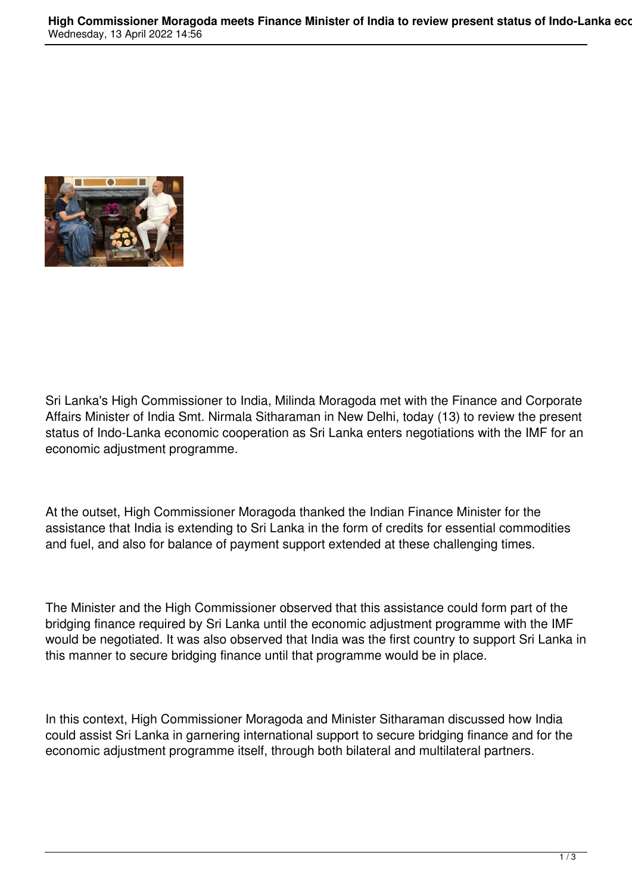

Sri Lanka's High Commissioner to India, Milinda Moragoda met with the Finance and Corporate Affairs Minister of India Smt. Nirmala Sitharaman in New Delhi, today (13) to review the present status of Indo-Lanka economic cooperation as Sri Lanka enters negotiations with the IMF for an economic adjustment programme.

At the outset, High Commissioner Moragoda thanked the Indian Finance Minister for the assistance that India is extending to Sri Lanka in the form of credits for essential commodities and fuel, and also for balance of payment support extended at these challenging times.

The Minister and the High Commissioner observed that this assistance could form part of the bridging finance required by Sri Lanka until the economic adjustment programme with the IMF would be negotiated. It was also observed that India was the first country to support Sri Lanka in this manner to secure bridging finance until that programme would be in place.

In this context, High Commissioner Moragoda and Minister Sitharaman discussed how India could assist Sri Lanka in garnering international support to secure bridging finance and for the economic adjustment programme itself, through both bilateral and multilateral partners.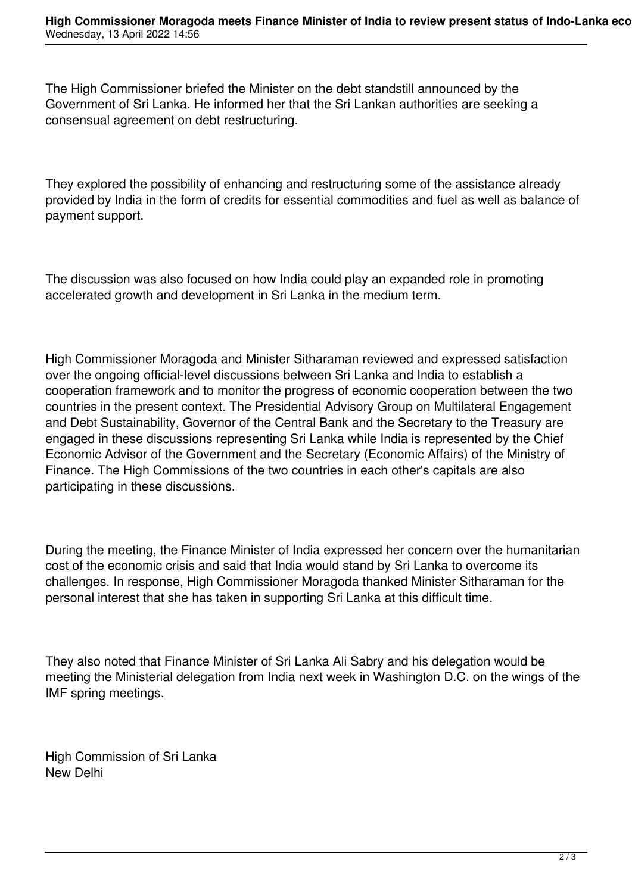The High Commissioner briefed the Minister on the debt standstill announced by the Government of Sri Lanka. He informed her that the Sri Lankan authorities are seeking a consensual agreement on debt restructuring.

They explored the possibility of enhancing and restructuring some of the assistance already provided by India in the form of credits for essential commodities and fuel as well as balance of payment support.

The discussion was also focused on how India could play an expanded role in promoting accelerated growth and development in Sri Lanka in the medium term.

High Commissioner Moragoda and Minister Sitharaman reviewed and expressed satisfaction over the ongoing official-level discussions between Sri Lanka and India to establish a cooperation framework and to monitor the progress of economic cooperation between the two countries in the present context. The Presidential Advisory Group on Multilateral Engagement and Debt Sustainability, Governor of the Central Bank and the Secretary to the Treasury are engaged in these discussions representing Sri Lanka while India is represented by the Chief Economic Advisor of the Government and the Secretary (Economic Affairs) of the Ministry of Finance. The High Commissions of the two countries in each other's capitals are also participating in these discussions.

During the meeting, the Finance Minister of India expressed her concern over the humanitarian cost of the economic crisis and said that India would stand by Sri Lanka to overcome its challenges. In response, High Commissioner Moragoda thanked Minister Sitharaman for the personal interest that she has taken in supporting Sri Lanka at this difficult time.

They also noted that Finance Minister of Sri Lanka Ali Sabry and his delegation would be meeting the Ministerial delegation from India next week in Washington D.C. on the wings of the IMF spring meetings.

High Commission of Sri Lanka New Delhi